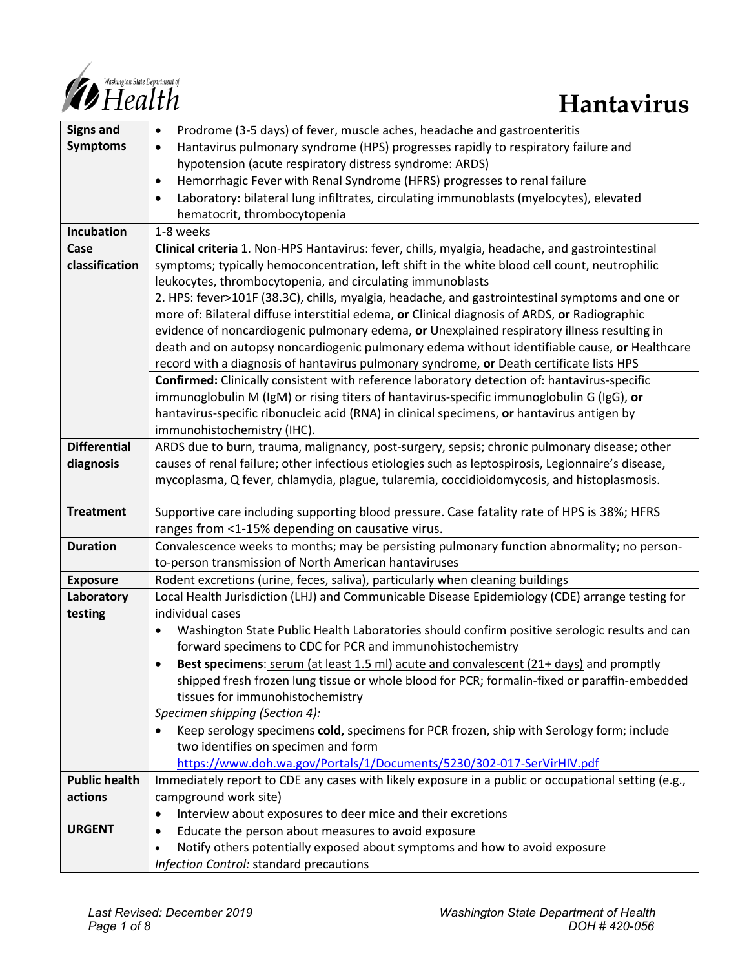

| <b>Signs and</b>     | Prodrome (3-5 days) of fever, muscle aches, headache and gastroenteritis<br>$\bullet$                      |
|----------------------|------------------------------------------------------------------------------------------------------------|
| <b>Symptoms</b>      | Hantavirus pulmonary syndrome (HPS) progresses rapidly to respiratory failure and<br>$\bullet$             |
|                      | hypotension (acute respiratory distress syndrome: ARDS)                                                    |
|                      | Hemorrhagic Fever with Renal Syndrome (HFRS) progresses to renal failure<br>$\bullet$                      |
|                      | Laboratory: bilateral lung infiltrates, circulating immunoblasts (myelocytes), elevated<br>$\bullet$       |
|                      | hematocrit, thrombocytopenia                                                                               |
| Incubation           | 1-8 weeks                                                                                                  |
| Case                 | Clinical criteria 1. Non-HPS Hantavirus: fever, chills, myalgia, headache, and gastrointestinal            |
| classification       | symptoms; typically hemoconcentration, left shift in the white blood cell count, neutrophilic              |
|                      | leukocytes, thrombocytopenia, and circulating immunoblasts                                                 |
|                      | 2. HPS: fever>101F (38.3C), chills, myalgia, headache, and gastrointestinal symptoms and one or            |
|                      | more of: Bilateral diffuse interstitial edema, or Clinical diagnosis of ARDS, or Radiographic              |
|                      | evidence of noncardiogenic pulmonary edema, or Unexplained respiratory illness resulting in                |
|                      | death and on autopsy noncardiogenic pulmonary edema without identifiable cause, or Healthcare              |
|                      | record with a diagnosis of hantavirus pulmonary syndrome, or Death certificate lists HPS                   |
|                      | Confirmed: Clinically consistent with reference laboratory detection of: hantavirus-specific               |
|                      | immunoglobulin M (IgM) or rising titers of hantavirus-specific immunoglobulin G (IgG), or                  |
|                      | hantavirus-specific ribonucleic acid (RNA) in clinical specimens, or hantavirus antigen by                 |
|                      | immunohistochemistry (IHC).                                                                                |
| <b>Differential</b>  | ARDS due to burn, trauma, malignancy, post-surgery, sepsis; chronic pulmonary disease; other               |
| diagnosis            | causes of renal failure; other infectious etiologies such as leptospirosis, Legionnaire's disease,         |
|                      | mycoplasma, Q fever, chlamydia, plague, tularemia, coccidioidomycosis, and histoplasmosis.                 |
| <b>Treatment</b>     | Supportive care including supporting blood pressure. Case fatality rate of HPS is 38%; HFRS                |
|                      | ranges from <1-15% depending on causative virus.                                                           |
| <b>Duration</b>      | Convalescence weeks to months; may be persisting pulmonary function abnormality; no person-                |
|                      | to-person transmission of North American hantaviruses                                                      |
| <b>Exposure</b>      | Rodent excretions (urine, feces, saliva), particularly when cleaning buildings                             |
| Laboratory           | Local Health Jurisdiction (LHJ) and Communicable Disease Epidemiology (CDE) arrange testing for            |
| testing              | individual cases                                                                                           |
|                      | Washington State Public Health Laboratories should confirm positive serologic results and can<br>$\bullet$ |
|                      | forward specimens to CDC for PCR and immunohistochemistry                                                  |
|                      | Best specimens: serum (at least 1.5 ml) acute and convalescent (21+ days) and promptly<br>٠                |
|                      | shipped fresh frozen lung tissue or whole blood for PCR; formalin-fixed or paraffin-embedded               |
|                      | tissues for immunohistochemistry                                                                           |
|                      | Specimen shipping (Section 4):                                                                             |
|                      | Keep serology specimens cold, specimens for PCR frozen, ship with Serology form; include<br>$\bullet$      |
|                      | two identifies on specimen and form                                                                        |
|                      | https://www.doh.wa.gov/Portals/1/Documents/5230/302-017-SerVirHIV.pdf                                      |
| <b>Public health</b> | Immediately report to CDE any cases with likely exposure in a public or occupational setting (e.g.,        |
| actions              | campground work site)                                                                                      |
|                      | Interview about exposures to deer mice and their excretions<br>$\bullet$                                   |
| <b>URGENT</b>        | Educate the person about measures to avoid exposure<br>٠                                                   |
|                      | Notify others potentially exposed about symptoms and how to avoid exposure<br>$\bullet$                    |
|                      | Infection Control: standard precautions                                                                    |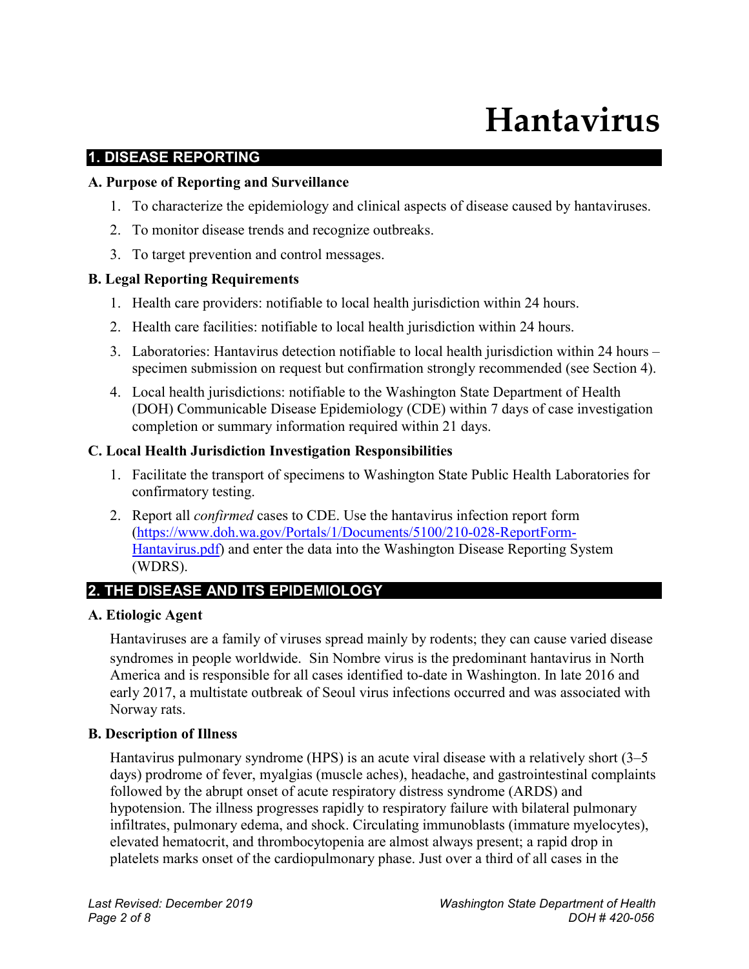# **Hantavirus**

#### **1. DISEASE REPORTING**

#### **A. Purpose of Reporting and Surveillance**

- 1. To characterize the epidemiology and clinical aspects of disease caused by hantaviruses.
- 2. To monitor disease trends and recognize outbreaks.
- 3. To target prevention and control messages.

#### **B. Legal Reporting Requirements**

- 1. Health care providers: notifiable to local health jurisdiction within 24 hours.
- 2. Health care facilities: notifiable to local health jurisdiction within 24 hours.
- 3. Laboratories: Hantavirus detection notifiable to local health jurisdiction within 24 hours specimen submission on request but confirmation strongly recommended (see Section 4).
- 4. Local health jurisdictions: notifiable to the Washington State Department of Health (DOH) Communicable Disease Epidemiology (CDE) within 7 days of case investigation completion or summary information required within 21 days.

#### **C. Local Health Jurisdiction Investigation Responsibilities**

- 1. Facilitate the transport of specimens to Washington State Public Health Laboratories for confirmatory testing.
- 2. Report all *confirmed* cases to CDE. Use the hantavirus infection report form [\(https://www.doh.wa.gov/Portals/1/Documents/5100/210-028-ReportForm-](https://www.doh.wa.gov/Portals/1/Documents/5100/210-028-ReportForm-Hantavirus.pdf)[Hantavirus.pdf\)](https://www.doh.wa.gov/Portals/1/Documents/5100/210-028-ReportForm-Hantavirus.pdf) and enter the data into the Washington Disease Reporting System (WDRS).

#### **2. THE DISEASE AND ITS EPIDEMIOLOGY**

#### **A. Etiologic Agent**

Hantaviruses are a family of viruses spread mainly by rodents; they can cause varied disease syndromes in people worldwide. Sin Nombre virus is the predominant hantavirus in North America and is responsible for all cases identified to-date in Washington. In late 2016 and early 2017, a multistate outbreak of Seoul virus infections occurred and was associated with Norway rats.

#### **B. Description of Illness**

Hantavirus pulmonary syndrome (HPS) is an acute viral disease with a relatively short (3–5 days) prodrome of fever, myalgias (muscle aches), headache, and gastrointestinal complaints followed by the abrupt onset of acute respiratory distress syndrome (ARDS) and hypotension. The illness progresses rapidly to respiratory failure with bilateral pulmonary infiltrates, pulmonary edema, and shock. Circulating immunoblasts (immature myelocytes), elevated hematocrit, and thrombocytopenia are almost always present; a rapid drop in platelets marks onset of the cardiopulmonary phase. Just over a third of all cases in the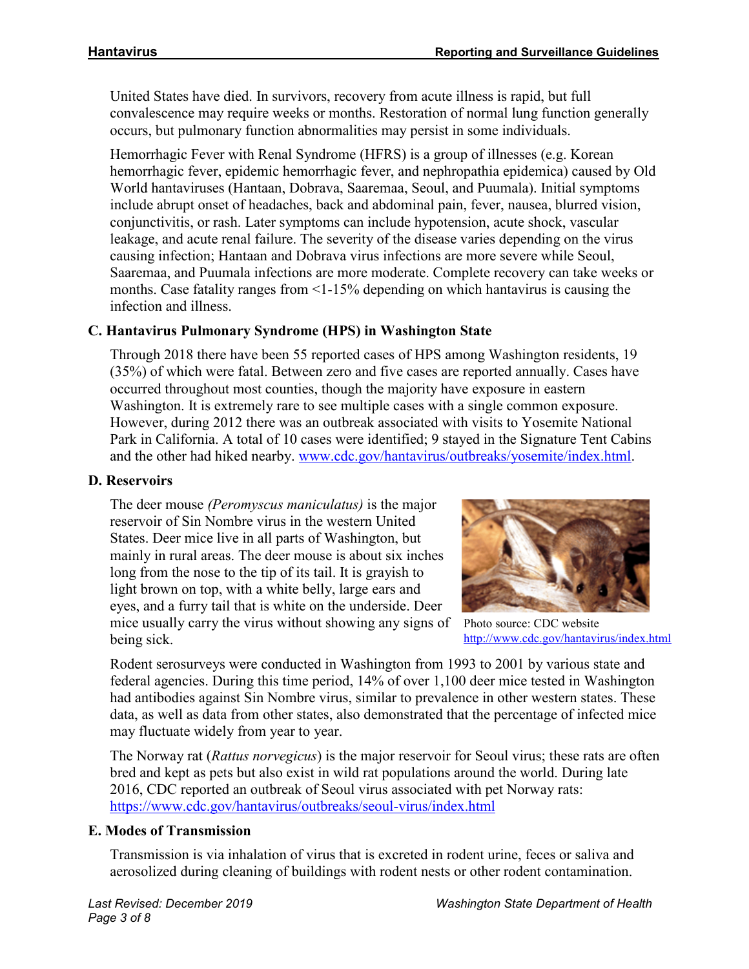United States have died. In survivors, recovery from acute illness is rapid, but full convalescence may require weeks or months. Restoration of normal lung function generally occurs, but pulmonary function abnormalities may persist in some individuals.

Hemorrhagic Fever with Renal Syndrome (HFRS) is a group of illnesses (e.g. Korean hemorrhagic fever, epidemic hemorrhagic fever, and nephropathia epidemica) caused by Old World hantaviruses (Hantaan, Dobrava, Saaremaa, Seoul, and Puumala). Initial symptoms include abrupt onset of headaches, back and abdominal pain, fever, nausea, blurred vision, conjunctivitis, or rash. Later symptoms can include hypotension, acute shock, vascular leakage, and acute renal failure. The severity of the disease varies depending on the virus causing infection; Hantaan and Dobrava virus infections are more severe while Seoul, Saaremaa, and Puumala infections are more moderate. Complete recovery can take weeks or months. Case fatality ranges from <1-15% depending on which hantavirus is causing the infection and illness.

# **C. Hantavirus Pulmonary Syndrome (HPS) in Washington State**

Through 2018 there have been 55 reported cases of HPS among Washington residents, 19 (35%) of which were fatal. Between zero and five cases are reported annually. Cases have occurred throughout most counties, though the majority have exposure in eastern Washington. It is extremely rare to see multiple cases with a single common exposure. However, during 2012 there was an outbreak associated with visits to Yosemite National Park in California. A total of 10 cases were identified; 9 stayed in the Signature Tent Cabins and the other had hiked nearby. [www.cdc.gov/hantavirus/outbreaks/yosemite/index.html.](https://www.cdc.gov/hantavirus/outbreaks/yosemite/index.html)

#### **D. Reservoirs**

The deer mouse *(Peromyscus maniculatus)* is the major reservoir of Sin Nombre virus in the western United States. Deer mice live in all parts of Washington, but mainly in rural areas. The deer mouse is about six inches long from the nose to the tip of its tail. It is grayish to light brown on top, with a white belly, large ears and eyes, and a furry tail that is white on the underside. Deer mice usually carry the virus without showing any signs of being sick.



Photo source: CDC website <http://www.cdc.gov/hantavirus/index.html>

Rodent serosurveys were conducted in Washington from 1993 to 2001 by various state and federal agencies. During this time period, 14% of over 1,100 deer mice tested in Washington had antibodies against Sin Nombre virus, similar to prevalence in other western states. These data, as well as data from other states, also demonstrated that the percentage of infected mice may fluctuate widely from year to year.

The Norway rat (*Rattus norvegicus*) is the major reservoir for Seoul virus; these rats are often bred and kept as pets but also exist in wild rat populations around the world. During late 2016, CDC reported an outbreak of Seoul virus associated with pet Norway rats: <https://www.cdc.gov/hantavirus/outbreaks/seoul-virus/index.html>

#### **E. Modes of Transmission**

Transmission is via inhalation of virus that is excreted in rodent urine, feces or saliva and aerosolized during cleaning of buildings with rodent nests or other rodent contamination.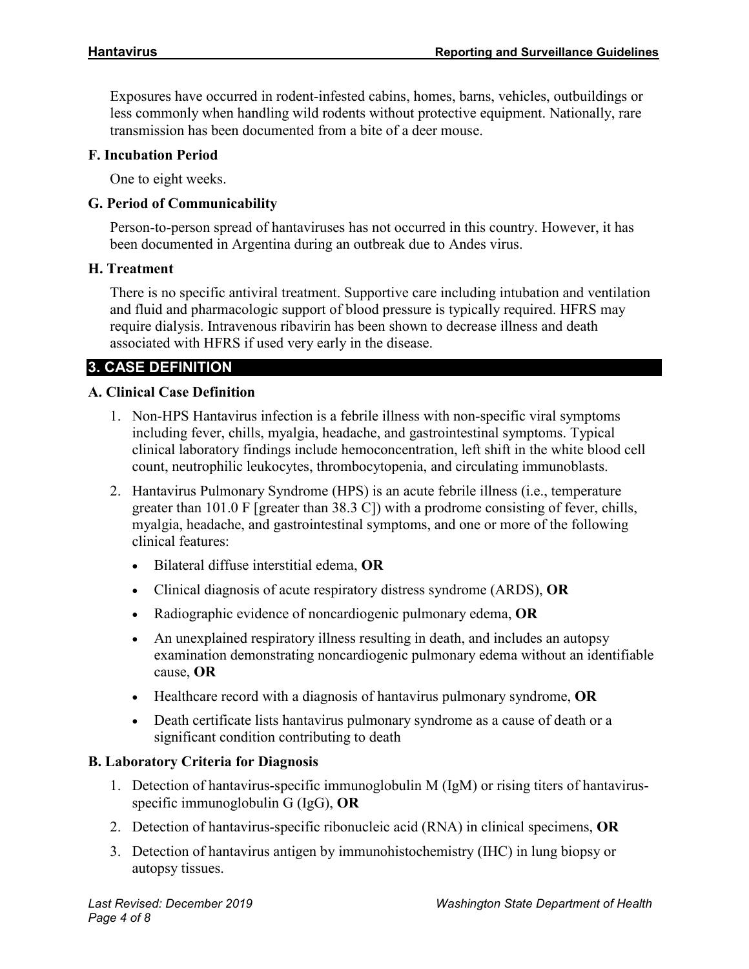Exposures have occurred in rodent-infested cabins, homes, barns, vehicles, outbuildings or less commonly when handling wild rodents without protective equipment. Nationally, rare transmission has been documented from a bite of a deer mouse.

#### **F. Incubation Period**

One to eight weeks.

#### **G. Period of Communicability**

Person-to-person spread of hantaviruses has not occurred in this country. However, it has been documented in Argentina during an outbreak due to Andes virus.

#### **H. Treatment**

There is no specific antiviral treatment. Supportive care including intubation and ventilation and fluid and pharmacologic support of blood pressure is typically required. HFRS may require dialysis. Intravenous ribavirin has been shown to decrease illness and death associated with HFRS if used very early in the disease.

# **3. CASE DEFINITION**

#### **A. Clinical Case Definition**

- 1. Non-HPS Hantavirus infection is a febrile illness with non-specific viral symptoms including fever, chills, myalgia, headache, and gastrointestinal symptoms. Typical clinical laboratory findings include hemoconcentration, left shift in the white blood cell count, neutrophilic leukocytes, thrombocytopenia, and circulating immunoblasts.
- 2. Hantavirus Pulmonary Syndrome (HPS) is an acute febrile illness (i.e., temperature greater than 101.0 F [greater than 38.3 C]) with a prodrome consisting of fever, chills, myalgia, headache, and gastrointestinal symptoms, and one or more of the following clinical features:
	- Bilateral diffuse interstitial edema, **OR**
	- Clinical diagnosis of acute respiratory distress syndrome (ARDS), **OR**
	- Radiographic evidence of noncardiogenic pulmonary edema, **OR**
	- An unexplained respiratory illness resulting in death, and includes an autopsy examination demonstrating noncardiogenic pulmonary edema without an identifiable cause, **OR**
	- Healthcare record with a diagnosis of hantavirus pulmonary syndrome, **OR**
	- Death certificate lists hantavirus pulmonary syndrome as a cause of death or a significant condition contributing to death

#### **B. Laboratory Criteria for Diagnosis**

- 1. Detection of hantavirus-specific immunoglobulin M (IgM) or rising titers of hantavirusspecific immunoglobulin G (IgG), **OR**
- 2. Detection of hantavirus-specific ribonucleic acid (RNA) in clinical specimens, **OR**
- 3. Detection of hantavirus antigen by immunohistochemistry (IHC) in lung biopsy or autopsy tissues.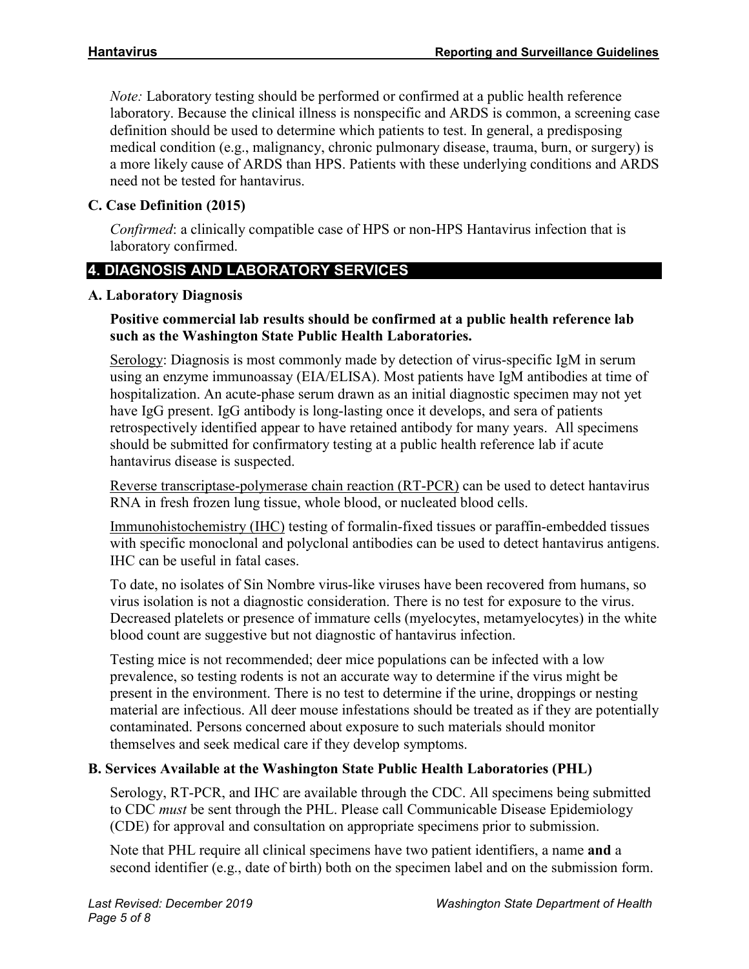*Note:* Laboratory testing should be performed or confirmed at a public health reference laboratory. Because the clinical illness is nonspecific and ARDS is common, a screening case definition should be used to determine which patients to test. In general, a predisposing medical condition (e.g., malignancy, chronic pulmonary disease, trauma, burn, or surgery) is a more likely cause of ARDS than HPS. Patients with these underlying conditions and ARDS need not be tested for hantavirus.

# **C. Case Definition (2015)**

*Confirmed*: a clinically compatible case of HPS or non-HPS Hantavirus infection that is laboratory confirmed.

# **4. DIAGNOSIS AND LABORATORY SERVICES**

# **A. Laboratory Diagnosis**

# **Positive commercial lab results should be confirmed at a public health reference lab such as the Washington State Public Health Laboratories.**

Serology: Diagnosis is most commonly made by detection of virus-specific IgM in serum using an enzyme immunoassay (EIA/ELISA). Most patients have IgM antibodies at time of hospitalization. An acute-phase serum drawn as an initial diagnostic specimen may not yet have IgG present. IgG antibody is long-lasting once it develops, and sera of patients retrospectively identified appear to have retained antibody for many years. All specimens should be submitted for confirmatory testing at a public health reference lab if acute hantavirus disease is suspected.

Reverse transcriptase-polymerase chain reaction (RT-PCR) can be used to detect hantavirus RNA in fresh frozen lung tissue, whole blood, or nucleated blood cells.

Immunohistochemistry (IHC) testing of formalin-fixed tissues or paraffin-embedded tissues with specific monoclonal and polyclonal antibodies can be used to detect hantavirus antigens. IHC can be useful in fatal cases.

To date, no isolates of Sin Nombre virus-like viruses have been recovered from humans, so virus isolation is not a diagnostic consideration. There is no test for exposure to the virus. Decreased platelets or presence of immature cells (myelocytes, metamyelocytes) in the white blood count are suggestive but not diagnostic of hantavirus infection.

Testing mice is not recommended; deer mice populations can be infected with a low prevalence, so testing rodents is not an accurate way to determine if the virus might be present in the environment. There is no test to determine if the urine, droppings or nesting material are infectious. All deer mouse infestations should be treated as if they are potentially contaminated. Persons concerned about exposure to such materials should monitor themselves and seek medical care if they develop symptoms.

# **B. Services Available at the Washington State Public Health Laboratories (PHL)**

Serology, RT-PCR, and IHC are available through the CDC. All specimens being submitted to CDC *must* be sent through the PHL. Please call Communicable Disease Epidemiology (CDE) for approval and consultation on appropriate specimens prior to submission.

Note that PHL require all clinical specimens have two patient identifiers, a name **and** a second identifier (e.g., date of birth) both on the specimen label and on the submission form.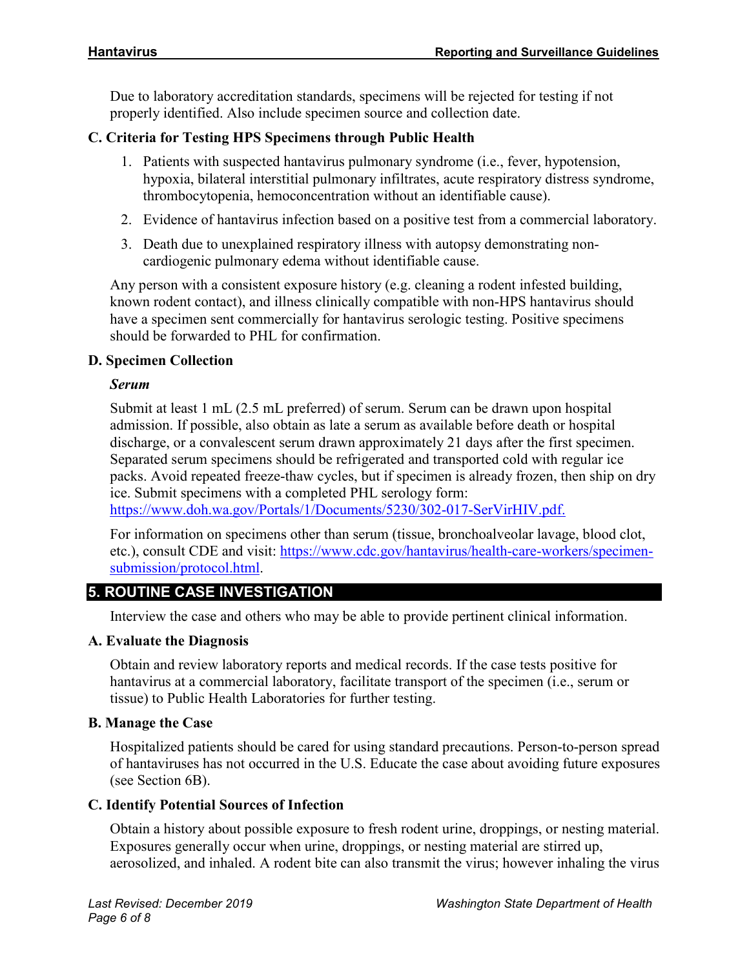Due to laboratory accreditation standards, specimens will be rejected for testing if not properly identified. Also include specimen source and collection date.

# **C. Criteria for Testing HPS Specimens through Public Health**

- 1. Patients with suspected hantavirus pulmonary syndrome (i.e., fever, hypotension, hypoxia, bilateral interstitial pulmonary infiltrates, acute respiratory distress syndrome, thrombocytopenia, hemoconcentration without an identifiable cause).
- 2. Evidence of hantavirus infection based on a positive test from a commercial laboratory.
- 3. Death due to unexplained respiratory illness with autopsy demonstrating noncardiogenic pulmonary edema without identifiable cause.

Any person with a consistent exposure history (e.g. cleaning a rodent infested building, known rodent contact), and illness clinically compatible with non-HPS hantavirus should have a specimen sent commercially for hantavirus serologic testing. Positive specimens should be forwarded to PHL for confirmation.

# **D. Specimen Collection**

# *Serum*

Submit at least 1 mL (2.5 mL preferred) of serum. Serum can be drawn upon hospital admission. If possible, also obtain as late a serum as available before death or hospital discharge, or a convalescent serum drawn approximately 21 days after the first specimen. Separated serum specimens should be refrigerated and transported cold with regular ice packs. Avoid repeated freeze-thaw cycles, but if specimen is already frozen, then ship on dry ice. Submit specimens with a completed PHL serology form:

[https://www.doh.wa.gov/Portals/1/Documents/5230/302-017-SerVirHIV.pdf.](https://www.doh.wa.gov/Portals/1/Documents/5230/302-017-SerVirHIV.pdf)

For information on specimens other than serum (tissue, bronchoalveolar lavage, blood clot, etc.), consult CDE and visit: [https://www.cdc.gov/hantavirus/health-care-workers/specimen](https://www.cdc.gov/hantavirus/health-care-workers/specimen-submission/protocol.html)[submission/protocol.html.](https://www.cdc.gov/hantavirus/health-care-workers/specimen-submission/protocol.html)

# **5. ROUTINE CASE INVESTIGATION**

Interview the case and others who may be able to provide pertinent clinical information.

# **A. Evaluate the Diagnosis**

Obtain and review laboratory reports and medical records. If the case tests positive for hantavirus at a commercial laboratory, facilitate transport of the specimen (i.e., serum or tissue) to Public Health Laboratories for further testing.

#### **B. Manage the Case**

Hospitalized patients should be cared for using standard precautions. Person-to-person spread of hantaviruses has not occurred in the U.S. Educate the case about avoiding future exposures (see Section 6B).

#### **C. Identify Potential Sources of Infection**

Obtain a history about possible exposure to fresh rodent urine, droppings, or nesting material. Exposures generally occur when urine, droppings, or nesting material are stirred up, aerosolized, and inhaled. A rodent bite can also transmit the virus; however inhaling the virus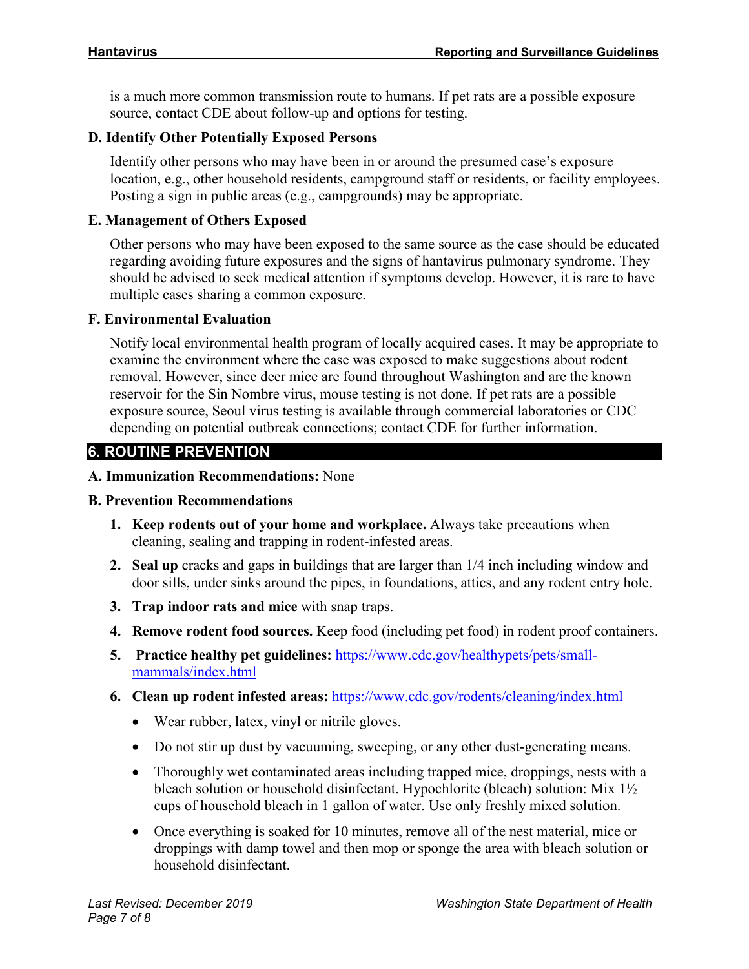is a much more common transmission route to humans. If pet rats are a possible exposure source, contact CDE about follow-up and options for testing.

#### **D. Identify Other Potentially Exposed Persons**

Identify other persons who may have been in or around the presumed case's exposure location, e.g., other household residents, campground staff or residents, or facility employees. Posting a sign in public areas (e.g., campgrounds) may be appropriate.

#### **E. Management of Others Exposed**

Other persons who may have been exposed to the same source as the case should be educated regarding avoiding future exposures and the signs of hantavirus pulmonary syndrome. They should be advised to seek medical attention if symptoms develop. However, it is rare to have multiple cases sharing a common exposure.

#### **F. Environmental Evaluation**

Notify local environmental health program of locally acquired cases. It may be appropriate to examine the environment where the case was exposed to make suggestions about rodent removal. However, since deer mice are found throughout Washington and are the known reservoir for the Sin Nombre virus, mouse testing is not done. If pet rats are a possible exposure source, Seoul virus testing is available through commercial laboratories or CDC depending on potential outbreak connections; contact CDE for further information.

# **6. ROUTINE PREVENTION**

#### **A. Immunization Recommendations:** None

#### **B. Prevention Recommendations**

- **1. Keep rodents out of your home and workplace.** Always take precautions when cleaning, sealing and trapping in rodent-infested areas.
- **2. Seal up** cracks and gaps in buildings that are larger than 1/4 inch including window and door sills, under sinks around the pipes, in foundations, attics, and any rodent entry hole.
- **3. Trap indoor rats and mice** with snap traps.
- **4. Remove rodent food sources.** Keep food (including pet food) in rodent proof containers.
- **5. Practice healthy pet guidelines:** [https://www.cdc.gov/healthypets/pets/small](https://www.cdc.gov/healthypets/pets/small-mammals/index.html)[mammals/index.html](https://www.cdc.gov/healthypets/pets/small-mammals/index.html)
- **6. Clean up rodent infested areas:** <https://www.cdc.gov/rodents/cleaning/index.html>
	- Wear rubber, latex, vinyl or nitrile gloves.
	- Do not stir up dust by vacuuming, sweeping, or any other dust-generating means.
	- Thoroughly wet contaminated areas including trapped mice, droppings, nests with a bleach solution or household disinfectant. Hypochlorite (bleach) solution: Mix 1½ cups of household bleach in 1 gallon of water. Use only freshly mixed solution.
	- Once everything is soaked for 10 minutes, remove all of the nest material, mice or droppings with damp towel and then mop or sponge the area with bleach solution or household disinfectant.